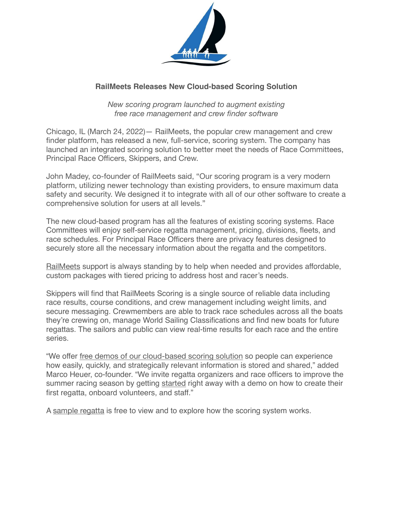

## **RailMeets Releases New Cloud-based Scoring Solution**

*New scoring program launched to augment existing free race management and crew finder software* 

Chicago, IL (March 24, 2022)— RailMeets, the popular crew management and crew finder platform, has released a new, full-service, scoring system. The company has launched an integrated scoring solution to better meet the needs of Race Committees, Principal Race Officers, Skippers, and Crew.

John Madey, co-founder of RailMeets said, "Our scoring program is a very modern platform, utilizing newer technology than existing providers, to ensure maximum data safety and security. We designed it to integrate with all of our other software to create a comprehensive solution for users at all levels."

The new cloud-based program has all the features of existing scoring systems. Race Committees will enjoy self-service regatta management, pricing, divisions, fleets, and race schedules. For Principal Race Officers there are privacy features designed to securely store all the necessary information about the regatta and the competitors.

[RailMeets](https://railmeets.com/scoring) support is always standing by to help when needed and provides affordable, custom packages with tiered pricing to address host and racer's needs.

Skippers will find that RailMeets Scoring is a single source of reliable data including race results, course conditions, and crew management including weight limits, and secure messaging. Crewmembers are able to track race schedules across all the boats they're crewing on, manage World Sailing Classifications and find new boats for future regattas. The sailors and public can view real-time results for each race and the entire series.

"We offer [free demos of our cloud-based scoring solution](https://railmeets.com/scoring) so people can experience how easily, quickly, and strategically relevant information is stored and shared," added Marco Heuer, co-founder. "We invite regatta organizers and race officers to improve the summer racing season by getting [started](https://railmeets.com/scoring) right away with a demo on how to create their first regatta, onboard volunteers, and staff."

A [sample regatta](https://railmeets.com/regattas) is free to view and to explore how the scoring system works.